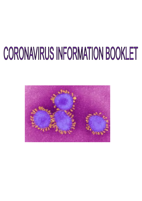## CORONAVIRUS INFORMATION BOOKLET

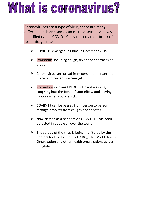## What is coronavirus?

Coronaviruses are a type of virus, there are many different kinds and some can cause diseases. A newly identified type – COVID-19 has caused an outbreak of respiratory illness.

- ➢ COVID-19 emerged in China in December 2019.
- $\triangleright$  Symptoms including cough, fever and shortness of breath.
- $\triangleright$  Coronavirus can spread from person to person and there is no current vaccine yet.
- ➢ Prevention involves FREQUENT hand washing, coughing into the bend of your elbow and staying indoors when you are sick.
- $\triangleright$  COVID-19 can be passed from person to person through droplets from coughs and sneezes.
- ➢ Now classed as a pandemic as COVID-19 has been detected in people all over the world.
- $\triangleright$  The spread of the virus is being monitored by the Centers for Disease Control (CDC), The World Health Organization and other health organizations across the globe.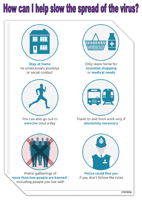## How can I help slow the spread of the virus?

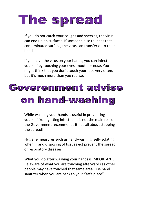## The spread

If you do not catch your coughs and sneezes, the virus can end up on surfaces. If someone else touches that contaminated surface, the virus can transfer onto their hands.

If you have the virus on your hands, you can infect yourself by touching your eyes, mouth or nose. You might think that you don't touch your face very often, but it's much more than you realise.

### Goverenment advise on hand-washing

While washing your hands is useful in preventing yourself from getting infected, it is not the main reason the Government recommends it. It's all about stopping the spread!

Hygiene measures such as hand-washing, self-isolating when ill and disposing of tissues ect prevent the spread of respiratory diseases.

What you do after washing your hands is IMPORTANT. Be aware of what you are touching afterwards as other people may have touched that same area. Use hand sanitizer when you are back to your "safe place".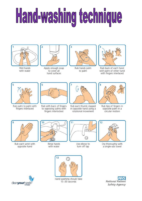# Hand-washing technique



Wet hands with water



Apply enough soap to cover all hand surfaces



Rub hands palm to palm



Rub back of each hand with palm of other hand with fingers interlaced



Rub palm to palm with fingers interlaced



Rub with back of fingers to opposing palms with fingers interlocked



Rub each thumb clasped in opposite hand using a rotational movement



Rub tips of fingers in opposite palm in a circular motion



Rub each wrist with opposite hand



Rinse hands with water



Use elbow to turn off tap



Dry thoroughly with a single-use towel





Hand washing should take 15-30 seconds

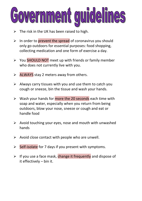#### **guideli** ernment

- $\triangleright$  The risk in the UK has been raised to high.
- ➢ In order to prevent the spread of coronavirus you should only go outdoors for essential purposes: food shopping, collecting medication and one form of exercise a day.
- ➢ You SHOULD NOT meet up with friends or family member who does not currently live with you.
- ➢ ALWAYS stay 2 meters away from others.
- $\triangleright$  Always carry tissues with you and use them to catch you cough or sneeze, bin the tissue and wash your hands.
- $\triangleright$  Wash your hands for more the 20 seconds each time with soap and water, especially when you return from being outdoors, blow your nose, sneeze or cough and eat or handle food
- $\triangleright$  Avoid touching your eyes, nose and mouth with unwashed hands
- $\triangleright$  Avoid close contact with people who are unwell.
- ➢ Self-isolate for 7 days if you present with symptoms.
- ➢ If you use a face mask, change it frequently and dispose of it effectively – bin it.